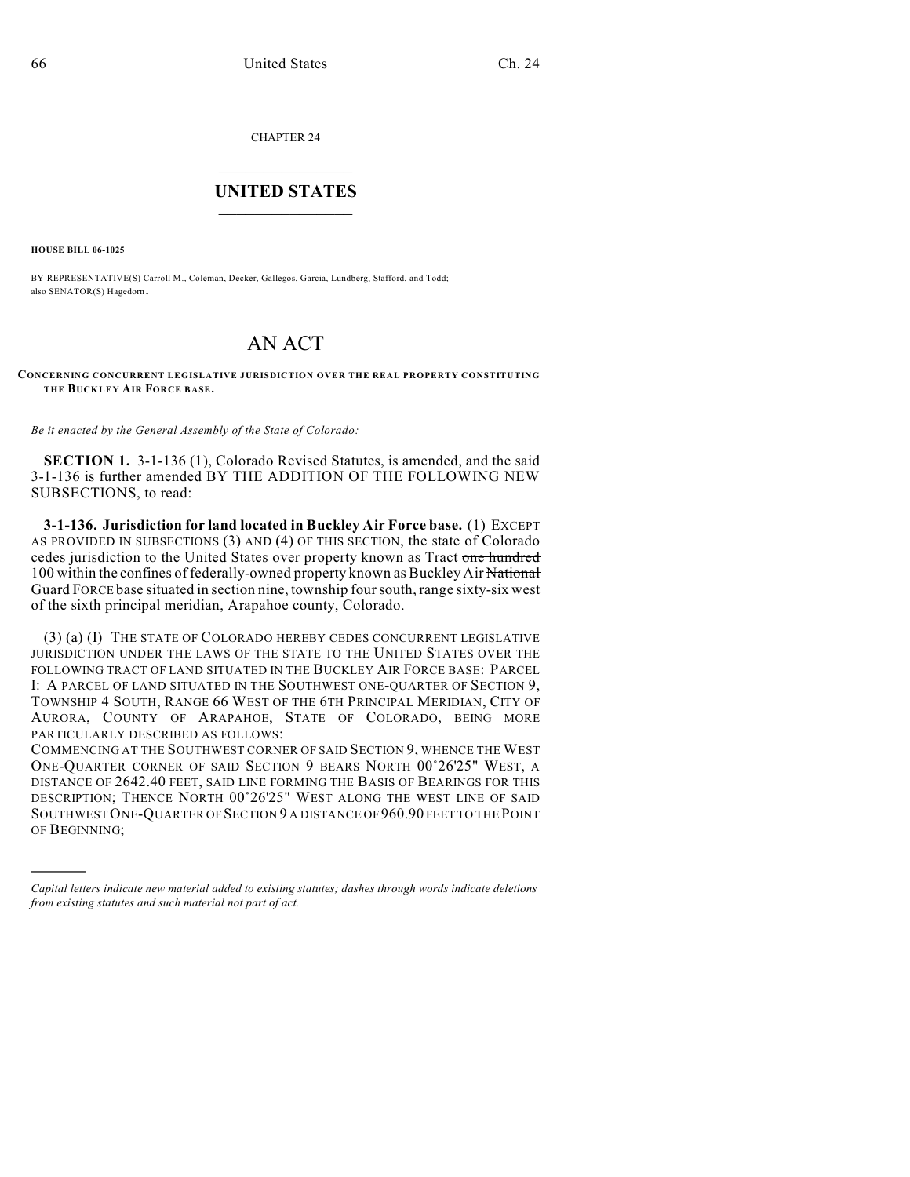CHAPTER 24  $\mathcal{L}_\text{max}$  . The set of the set of the set of the set of the set of the set of the set of the set of the set of the set of the set of the set of the set of the set of the set of the set of the set of the set of the set

## **UNITED STATES** \_\_\_\_\_\_\_\_\_\_\_\_\_\_\_

**HOUSE BILL 06-1025**

)))))

BY REPRESENTATIVE(S) Carroll M., Coleman, Decker, Gallegos, Garcia, Lundberg, Stafford, and Todd; also SENATOR(S) Hagedorn.

## AN ACT

## **CONCERNING CONCURRENT LEGISLATIVE JURISDICTION OVER THE REAL PROPERTY CONSTITUTING THE BUCKLEY AIR FORCE BASE.**

*Be it enacted by the General Assembly of the State of Colorado:*

**SECTION 1.** 3-1-136 (1), Colorado Revised Statutes, is amended, and the said 3-1-136 is further amended BY THE ADDITION OF THE FOLLOWING NEW SUBSECTIONS, to read:

**3-1-136. Jurisdiction for land located in Buckley Air Force base.** (1) EXCEPT AS PROVIDED IN SUBSECTIONS (3) AND (4) OF THIS SECTION, the state of Colorado cedes jurisdiction to the United States over property known as Tract one hundred 100 within the confines of federally-owned property known as Buckley Air National Guard FORCE base situated in section nine, township four south, range sixty-six west of the sixth principal meridian, Arapahoe county, Colorado.

(3) (a) (I) THE STATE OF COLORADO HEREBY CEDES CONCURRENT LEGISLATIVE JURISDICTION UNDER THE LAWS OF THE STATE TO THE UNITED STATES OVER THE FOLLOWING TRACT OF LAND SITUATED IN THE BUCKLEY AIR FORCE BASE: PARCEL I: A PARCEL OF LAND SITUATED IN THE SOUTHWEST ONE-QUARTER OF SECTION 9, TOWNSHIP 4 SOUTH, RANGE 66 WEST OF THE 6TH PRINCIPAL MERIDIAN, CITY OF AURORA, COUNTY OF ARAPAHOE, STATE OF COLORADO, BEING MORE PARTICULARLY DESCRIBED AS FOLLOWS:

COMMENCING AT THE SOUTHWEST CORNER OF SAID SECTION 9, WHENCE THE WEST ONE-QUARTER CORNER OF SAID SECTION 9 BEARS NORTH 00°26'25" WEST. A DISTANCE OF 2642.40 FEET, SAID LINE FORMING THE BASIS OF BEARINGS FOR THIS DESCRIPTION; THENCE NORTH  $00^{\circ}26'25''$  West along the west line of said SOUTHWEST ONE-QUARTER OF SECTION 9 A DISTANCE OF 960.90 FEET TO THE POINT OF BEGINNING;

*Capital letters indicate new material added to existing statutes; dashes through words indicate deletions from existing statutes and such material not part of act.*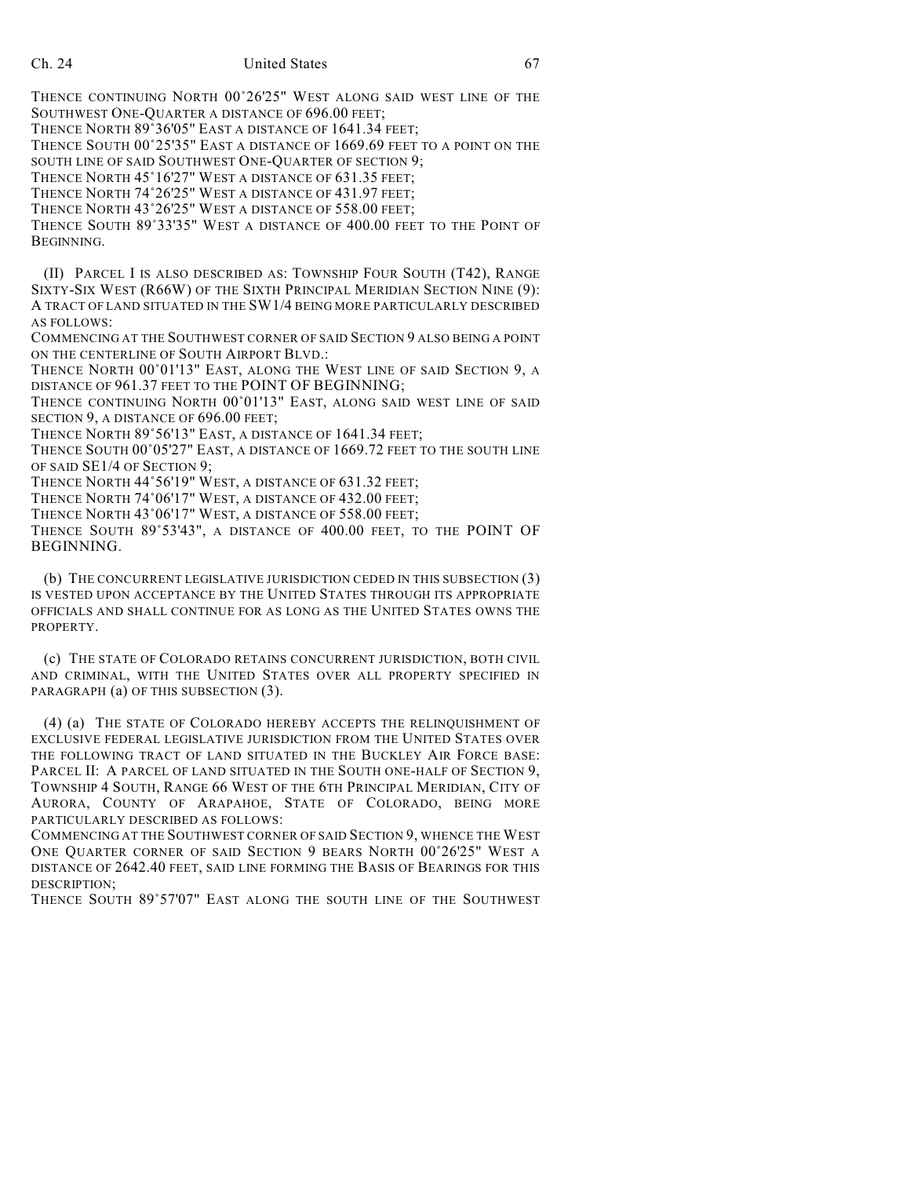THENCE CONTINUING NORTH 00°26'25" WEST ALONG SAID WEST LINE OF THE SOUTHWEST ONE-QUARTER A DISTANCE OF 696.00 FEET; THENCE NORTH 89°36'05" EAST A DISTANCE OF 1641.34 FEET; THENCE SOUTH  $00^{\circ}25'35''$  EAST A DISTANCE OF 1669.69 FEET TO A POINT ON THE SOUTH LINE OF SAID SOUTHWEST ONE-QUARTER OF SECTION 9; THENCE NORTH 45°16'27" WEST A DISTANCE OF 631.35 FEET; THENCE NORTH 74°26'25" WEST A DISTANCE OF 431.97 FEET; THENCE NORTH 43°26'25" WEST A DISTANCE OF 558.00 FEET;

THENCE SOUTH 89°33'35" WEST A DISTANCE OF 400.00 FEET TO THE POINT OF BEGINNING.

(II) PARCEL I IS ALSO DESCRIBED AS: TOWNSHIP FOUR SOUTH (T42), RANGE SIXTY-SIX WEST (R66W) OF THE SIXTH PRINCIPAL MERIDIAN SECTION NINE (9): A TRACT OF LAND SITUATED IN THE SW1/4 BEING MORE PARTICULARLY DESCRIBED AS FOLLOWS:

COMMENCING AT THE SOUTHWEST CORNER OF SAID SECTION 9 ALSO BEING A POINT ON THE CENTERLINE OF SOUTH AIRPORT BLVD.:

THENCE NORTH 00°01'13" EAST, ALONG THE WEST LINE OF SAID SECTION 9, A DISTANCE OF 961.37 FEET TO THE POINT OF BEGINNING;

THENCE CONTINUING NORTH 00°01'13" EAST, ALONG SAID WEST LINE OF SAID SECTION 9, A DISTANCE OF 696.00 FEET;

THENCE NORTH 89°56'13" EAST, A DISTANCE OF 1641.34 FEET;

THENCE SOUTH  $00^{\circ}05'27''$  EAST, A DISTANCE OF 1669.72 FEET TO THE SOUTH LINE OF SAID SE1/4 OF SECTION 9;

THENCE NORTH 44°56'19" WEST, A DISTANCE OF 631.32 FEET;

THENCE NORTH 74°06'17" WEST, A DISTANCE OF 432.00 FEET;

THENCE NORTH 43°06'17" WEST, A DISTANCE OF 558.00 FEET;

THENCE SOUTH 89°53'43", A DISTANCE OF 400.00 FEET, TO THE POINT OF BEGINNING.

(b) THE CONCURRENT LEGISLATIVE JURISDICTION CEDED IN THIS SUBSECTION (3) IS VESTED UPON ACCEPTANCE BY THE UNITED STATES THROUGH ITS APPROPRIATE OFFICIALS AND SHALL CONTINUE FOR AS LONG AS THE UNITED STATES OWNS THE PROPERTY.

(c) THE STATE OF COLORADO RETAINS CONCURRENT JURISDICTION, BOTH CIVIL AND CRIMINAL, WITH THE UNITED STATES OVER ALL PROPERTY SPECIFIED IN PARAGRAPH (a) OF THIS SUBSECTION (3).

(4) (a) THE STATE OF COLORADO HEREBY ACCEPTS THE RELINQUISHMENT OF EXCLUSIVE FEDERAL LEGISLATIVE JURISDICTION FROM THE UNITED STATES OVER THE FOLLOWING TRACT OF LAND SITUATED IN THE BUCKLEY AIR FORCE BASE: PARCEL II: A PARCEL OF LAND SITUATED IN THE SOUTH ONE-HALF OF SECTION 9, TOWNSHIP 4 SOUTH, RANGE 66 WEST OF THE 6TH PRINCIPAL MERIDIAN, CITY OF AURORA, COUNTY OF ARAPAHOE, STATE OF COLORADO, BEING MORE PARTICULARLY DESCRIBED AS FOLLOWS:

COMMENCING AT THE SOUTHWEST CORNER OF SAID SECTION 9, WHENCE THE WEST ONE QUARTER CORNER OF SAID SECTION 9 BEARS NORTH 00°26'25" WEST A DISTANCE OF 2642.40 FEET, SAID LINE FORMING THE BASIS OF BEARINGS FOR THIS DESCRIPTION;

THENCE SOUTH 89/57'07" EAST ALONG THE SOUTH LINE OF THE SOUTHWEST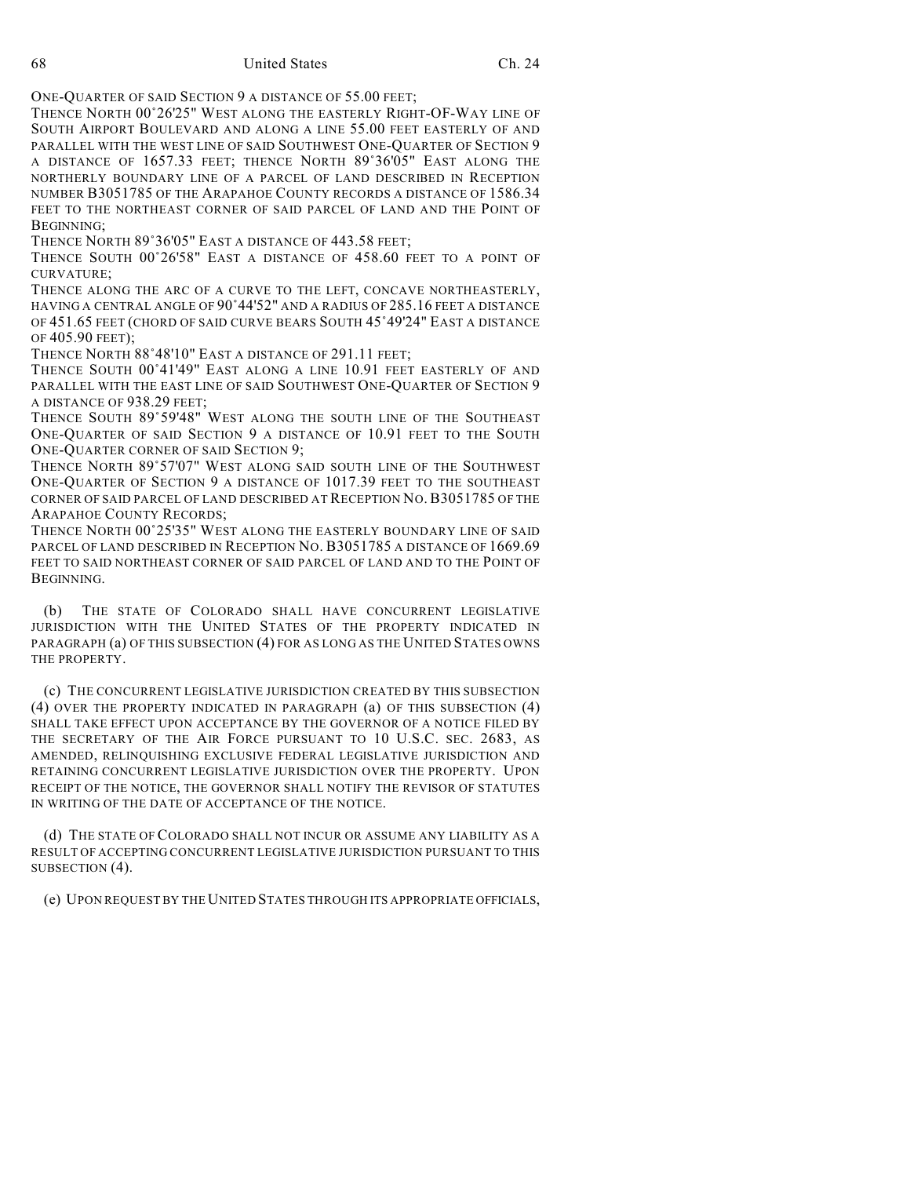68 United States Ch. 24

ONE-QUARTER OF SAID SECTION 9 A DISTANCE OF 55.00 FEET;

THENCE NORTH 00°26'25" WEST ALONG THE EASTERLY RIGHT-OF-WAY LINE OF SOUTH AIRPORT BOULEVARD AND ALONG A LINE 55.00 FEET EASTERLY OF AND PARALLEL WITH THE WEST LINE OF SAID SOUTHWEST ONE-QUARTER OF SECTION 9 A DISTANCE OF 1657.33 FEET; THENCE NORTH 89/36'05" EAST ALONG THE NORTHERLY BOUNDARY LINE OF A PARCEL OF LAND DESCRIBED IN RECEPTION NUMBER B3051785 OF THE ARAPAHOE COUNTY RECORDS A DISTANCE OF 1586.34 FEET TO THE NORTHEAST CORNER OF SAID PARCEL OF LAND AND THE POINT OF BEGINNING;

THENCE NORTH 89°36'05" EAST A DISTANCE OF 443.58 FEET;

THENCE SOUTH 00°26'58" EAST A DISTANCE OF 458.60 FEET TO A POINT OF CURVATURE;

THENCE ALONG THE ARC OF A CURVE TO THE LEFT, CONCAVE NORTHEASTERLY, HAVING A CENTRAL ANGLE OF 90°44'52" AND A RADIUS OF 285.16 FEET A DISTANCE OF 451.65 FEET (CHORD OF SAID CURVE BEARS SOUTH 45°49'24" EAST A DISTANCE OF 405.90 FEET);

THENCE NORTH 88°48'10" EAST A DISTANCE OF 291.11 FEET;

THENCE SOUTH 00°41'49" EAST ALONG A LINE 10.91 FEET EASTERLY OF AND PARALLEL WITH THE EAST LINE OF SAID SOUTHWEST ONE-QUARTER OF SECTION 9 A DISTANCE OF 938.29 FEET;

THENCE SOUTH 89°59'48" WEST ALONG THE SOUTH LINE OF THE SOUTHEAST ONE-QUARTER OF SAID SECTION 9 A DISTANCE OF 10.91 FEET TO THE SOUTH ONE-QUARTER CORNER OF SAID SECTION 9;

THENCE NORTH 89°57'07" WEST ALONG SAID SOUTH LINE OF THE SOUTHWEST ONE-QUARTER OF SECTION 9 A DISTANCE OF 1017.39 FEET TO THE SOUTHEAST CORNER OF SAID PARCEL OF LAND DESCRIBED AT RECEPTION NO. B3051785 OF THE ARAPAHOE COUNTY RECORDS;

THENCE NORTH  $00^{\circ}25'35''$  WEST ALONG THE EASTERLY BOUNDARY LINE OF SAID PARCEL OF LAND DESCRIBED IN RECEPTION NO. B3051785 A DISTANCE OF 1669.69 FEET TO SAID NORTHEAST CORNER OF SAID PARCEL OF LAND AND TO THE POINT OF BEGINNING.

(b) THE STATE OF COLORADO SHALL HAVE CONCURRENT LEGISLATIVE JURISDICTION WITH THE UNITED STATES OF THE PROPERTY INDICATED IN PARAGRAPH (a) OF THIS SUBSECTION (4) FOR AS LONG AS THE UNITED STATES OWNS THE PROPERTY.

(c) THE CONCURRENT LEGISLATIVE JURISDICTION CREATED BY THIS SUBSECTION (4) OVER THE PROPERTY INDICATED IN PARAGRAPH (a) OF THIS SUBSECTION (4) SHALL TAKE EFFECT UPON ACCEPTANCE BY THE GOVERNOR OF A NOTICE FILED BY THE SECRETARY OF THE AIR FORCE PURSUANT TO 10 U.S.C. SEC. 2683, AS AMENDED, RELINQUISHING EXCLUSIVE FEDERAL LEGISLATIVE JURISDICTION AND RETAINING CONCURRENT LEGISLATIVE JURISDICTION OVER THE PROPERTY. UPON RECEIPT OF THE NOTICE, THE GOVERNOR SHALL NOTIFY THE REVISOR OF STATUTES IN WRITING OF THE DATE OF ACCEPTANCE OF THE NOTICE.

(d) THE STATE OF COLORADO SHALL NOT INCUR OR ASSUME ANY LIABILITY AS A RESULT OF ACCEPTING CONCURRENT LEGISLATIVE JURISDICTION PURSUANT TO THIS SUBSECTION (4).

(e) UPON REQUEST BY THE UNITED STATES THROUGH ITS APPROPRIATE OFFICIALS,